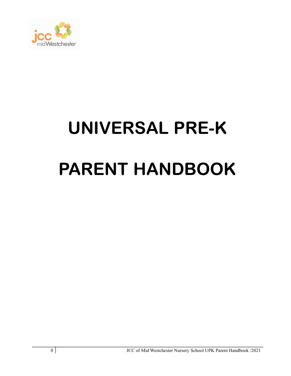

# UNIVERSAL PRE-K PARENT HANDBOOK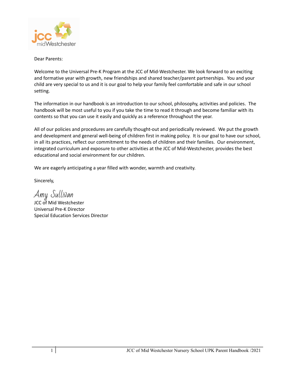

Dear Parents:

Welcome to the Universal Pre-K Program at the JCC of Mid-Westchester. We look forward to an exciting and formative year with growth, new friendships and shared teacher/parent partnerships. You and your child are very special to us and it is our goal to help your family feel comfortable and safe in our school setting.

The information in our handbook is an introduction to our school, philosophy, activities and policies. The handbook will be most useful to you if you take the time to read it through and become familiar with its contents so that you can use it easily and quickly as a reference throughout the year.

All of our policies and procedures are carefully thought-out and periodically reviewed. We put the growth and development and general well-being of children first in making policy. It is our goal to have our school, in all its practices, reflect our commitment to the needs of children and their families. Our environment, integrated curriculum and exposure to other activities at the JCC of Mid-Westchester, provides the best educational and social environment for our children.

We are eagerly anticipating a year filled with wonder, warmth and creativity.

Sincerely,

Amy Sullivan

JCC of Mid Westchester Universal Pre-K Director Special Education Services Director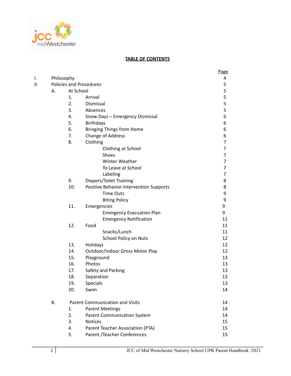

#### **TABLE OF CONTENTS**

|     |           |                                        |                                         | Page           |
|-----|-----------|----------------------------------------|-----------------------------------------|----------------|
| ١.  |           | Philosophy                             |                                         | 4              |
| II. |           |                                        | <b>Policies and Procedures</b>          | 5              |
|     | А.        | At School                              |                                         | 5              |
|     |           | 1.                                     | Arrival                                 | 5              |
|     |           | 2.                                     | Dismissal                               | 5              |
|     |           | 3.                                     | Absences                                | 5              |
|     |           | 4.                                     | Snow Days - Emergency Dismissal         | 6              |
|     |           | 5.                                     | <b>Birthdays</b>                        | 6              |
|     |           | 6.                                     | <b>Bringing Things from Home</b>        | 6              |
|     |           | 7.                                     | Change of Address                       | 6              |
|     |           | 8.                                     | Clothing                                | $\overline{7}$ |
|     |           |                                        | Clothing at School                      | $\overline{7}$ |
|     |           |                                        | Shoes                                   | $\overline{7}$ |
|     |           |                                        | Winter Weather                          | $\overline{7}$ |
|     |           |                                        | To Leave at School                      | $\overline{7}$ |
|     |           |                                        | Labeling                                | $\overline{7}$ |
|     |           | 9.                                     | <b>Diapers/Toilet Training</b>          | 8              |
|     |           | 10.                                    | Positive Behavior Intervention Supports | 8              |
|     |           |                                        | <b>Time Outs</b>                        | 9              |
|     |           |                                        | <b>Biting Policy</b>                    | 9              |
|     |           | 11.                                    | Emergencies                             | 9              |
|     |           |                                        | <b>Emergency Evacuation Plan</b>        | 9              |
|     |           |                                        | <b>Emergency Notification</b>           | 11             |
|     |           | 12.                                    | Food                                    | 11             |
|     |           |                                        | Snacks/Lunch                            | 11             |
|     |           |                                        | School Policy on Nuts                   | 12             |
|     |           | 13.                                    | Holidays                                | 12             |
|     |           | 14.                                    | Outdoor/Indoor Gross Motor Play         | 12             |
|     |           | 15.                                    | Playground                              | 13             |
|     |           | 16.                                    | Photos                                  | 13             |
|     |           | 17.                                    | Safety and Parking                      | 13             |
|     |           | 18.                                    | Separation                              | 13             |
|     |           | 19.                                    | Specials                                | 13             |
|     |           | 20.                                    | Swim                                    | 14             |
|     | <b>B.</b> | <b>Parent Communication and Visits</b> |                                         | 14             |
|     |           | 1.                                     | <b>Parent Meetings</b>                  | 14             |
|     |           | 2.                                     | <b>Parent Communication System</b>      | 14             |
|     |           | 3.                                     | <b>Notices</b>                          | 15             |
|     |           | 4.                                     | Parent Teacher Association (PTA)        | 15             |
|     |           | 5.                                     | Parent / Teacher Conferences            | 15             |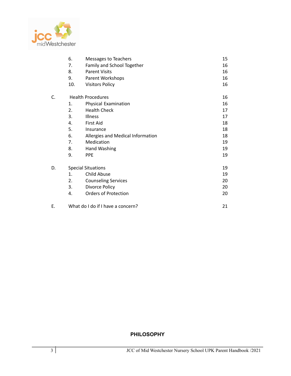

|    | 6.                       | Messages to Teachers              | 15 |
|----|--------------------------|-----------------------------------|----|
|    | 7.                       | Family and School Together        | 16 |
|    | 8.                       | <b>Parent Visits</b>              | 16 |
|    | 9.                       | Parent Workshops                  | 16 |
|    | 10.                      | <b>Visitors Policy</b>            | 16 |
| C. | <b>Health Procedures</b> |                                   | 16 |
|    | 1.                       | Physical Examination              | 16 |
|    | 2.                       | <b>Health Check</b>               | 17 |
|    | 3.                       | <b>Illness</b>                    | 17 |
|    | 4.                       | <b>First Aid</b>                  | 18 |
|    | 5.                       | Insurance                         | 18 |
|    | 6.                       | Allergies and Medical Information | 18 |
|    | 7.                       | Medication                        | 19 |
|    | 8.                       | Hand Washing                      | 19 |
|    | 9.                       | <b>PPE</b>                        | 19 |
| D. |                          | <b>Special Situations</b>         | 19 |
|    | 1.                       | <b>Child Abuse</b>                | 19 |
|    | 2.                       | <b>Counseling Services</b>        | 20 |
|    | 3.                       | Divorce Policy                    | 20 |
|    | 4.                       | <b>Orders of Protection</b>       | 20 |
| Ε. |                          | What do I do if I have a concern? | 21 |

## **PHILOSOPHY**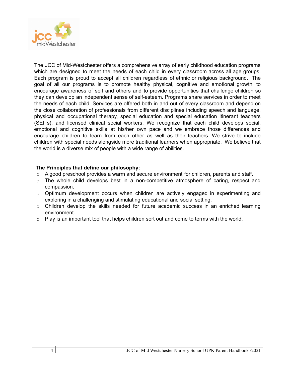

The JCC of Mid-Westchester offers a comprehensive array of early childhood education programs which are designed to meet the needs of each child in every classroom across all age groups. Each program is proud to accept all children regardless of ethnic or religious background. The goal of all our programs is to promote healthy physical, cognitive and emotional growth; to encourage awareness of self and others and to provide opportunities that challenge children so they can develop an independent sense of self-esteem. Programs share services in order to meet the needs of each child. Services are offered both in and out of every classroom and depend on the close collaboration of professionals from different disciplines including speech and language, physical and occupational therapy, special education and special education itinerant teachers (SEITs), and licensed clinical social workers. We recognize that each child develops social, emotional and cognitive skills at his/her own pace and we embrace those differences and encourage children to learn from each other as well as their teachers. We strive to include children with special needs alongside more traditional learners when appropriate. We believe that the world is a diverse mix of people with a wide range of abilities.

#### **The Principles that define our philosophy:**

- $\circ$  A good preschool provides a warm and secure environment for children, parents and staff.
- o The whole child develops best in a non-competitive atmosphere of caring, respect and compassion.
- $\circ$  Optimum development occurs when children are actively engaged in experimenting and exploring in a challenging and stimulating educational and social setting.
- o Children develop the skills needed for future academic success in an enriched learning environment.
- $\circ$  Play is an important tool that helps children sort out and come to terms with the world.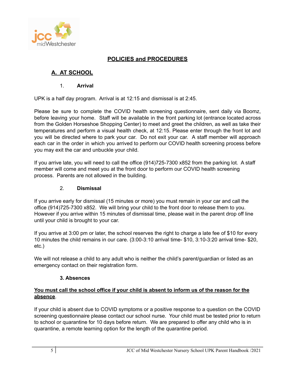

# **POLICIES and PROCEDURES**

# **A. AT SCHOOL**

# 1. **Arrival**

UPK is a half day program. Arrival is at 12:15 and dismissal is at 2:45.

Please be sure to complete the COVID health screening questionnaire, sent daily via Boomz, before leaving your home. Staff will be available in the front parking lot (entrance located across from the Golden Horseshoe Shopping Center) to meet and greet the children, as well as take their temperatures and perform a visual health check, at 12:15. Please enter through the front lot and you will be directed where to park your car. Do not exit your car. A staff member will approach each car in the order in which you arrived to perform our COVID health screening process before you may exit the car and unbuckle your child.

If you arrive late, you will need to call the office (914)725-7300 x852 from the parking lot. A staff member will come and meet you at the front door to perform our COVID health screening process. Parents are not allowed in the building.

#### 2. **Dismissal**

If you arrive early for dismissal (15 minutes or more) you must remain in your car and call the office (914)725-7300 x852. We will bring your child to the front door to release them to you. However if you arrive within 15 minutes of dismissal time, please wait in the parent drop off line until your child is brought to your car.

If you arrive at 3:00 pm or later, the school reserves the right to charge a late fee of \$10 for every 10 minutes the child remains in our care. (3:00-3:10 arrival time- \$10, 3:10-3:20 arrival time- \$20, etc.)

We will not release a child to any adult who is neither the child's parent/guardian or listed as an emergency contact on their registration form.

# **3. Absences**

#### **You must call the school office if your child is absent to inform us of the reason for the absence**.

If your child is absent due to COVID symptoms or a positive response to a question on the COVID screening questionnaire please contact our school nurse. Your child must be tested prior to return to school or quarantine for 10 days before return. We are prepared to offer any child who is in quarantine, a remote learning option for the length of the quarantine period.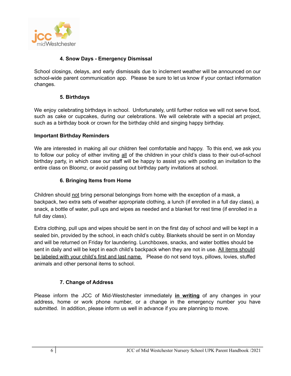

## **4. Snow Days - Emergency Dismissal**

School closings, delays, and early dismissals due to inclement weather will be announced on our school-wide parent communication app. Please be sure to let us know if your contact information changes.

#### **5. Birthdays**

We enjoy celebrating birthdays in school. Unfortunately, until further notice we will not serve food, such as cake or cupcakes, during our celebrations. We will celebrate with a special art project, such as a birthday book or crown for the birthday child and singing happy birthday.

#### **Important Birthday Reminders**

We are interested in making all our children feel comfortable and happy. To this end, we ask you to follow our policy of either inviting all of the children in your child's class to their out-of-school birthday party, in which case our staff will be happy to assist you with posting an invitation to the entire class on Bloomz, or avoid passing out birthday party invitations at school.

# **6. Bringing Items from Home**

Children should not bring personal belongings from home with the exception of a mask, a backpack, two extra sets of weather appropriate clothing, a lunch (if enrolled in a full day class), a snack, a bottle of water, pull ups and wipes as needed and a blanket for rest time (if enrolled in a full day class).

Extra clothing, pull ups and wipes should be sent in on the first day of school and will be kept in a sealed bin, provided by the school, in each child's cubby. Blankets should be sent in on Monday and will be returned on Friday for laundering. Lunchboxes, snacks, and water bottles should be sent in daily and will be kept in each child's backpack when they are not in use. All items should be labeled with your child's first and last name. Please do not send toys, pillows, lovies, stuffed animals and other personal items to school.

# **7. Change of Address**

Please inform the JCC of Mid-Westchester immediately **in writing** of any changes in your address, home or work phone number, or a change in the emergency number you have submitted. In addition, please inform us well in advance if you are planning to move.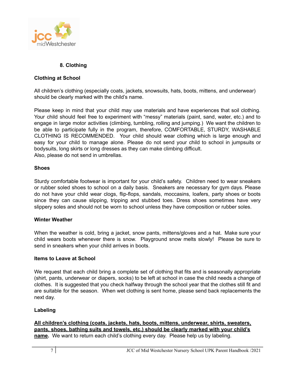

# **8. Clothing**

# **Clothing at School**

All children's clothing (especially coats, jackets, snowsuits, hats, boots, mittens, and underwear) should be clearly marked with the child's name.

Please keep in mind that your child may use materials and have experiences that soil clothing. Your child should feel free to experiment with "messy" materials (paint, sand, water, etc.) and to engage in large motor activities (climbing, tumbling, rolling and jumping.) We want the children to be able to participate fully in the program, therefore, COMFORTABLE, STURDY, WASHABLE CLOTHING IS RECOMMENDED. Your child should wear clothing which is large enough and easy for your child to manage alone. Please do not send your child to school in jumpsuits or bodysuits, long skirts or long dresses as they can make climbing difficult. Also, please do not send in umbrellas.

#### **Shoes**

Sturdy comfortable footwear is important for your child's safety. Children need to wear sneakers or rubber soled shoes to school on a daily basis. Sneakers are necessary for gym days. Please do not have your child wear clogs, flip-flops, sandals, moccasins, loafers, party shoes or boots since they can cause slipping, tripping and stubbed toes. Dress shoes sometimes have very slippery soles and should not be worn to school unless they have composition or rubber soles.

#### **Winter Weather**

When the weather is cold, bring a jacket, snow pants, mittens/gloves and a hat. Make sure your child wears boots whenever there is snow. Playground snow melts slowly! Please be sure to send in sneakers when your child arrives in boots.

#### **Items to Leave at School**

We request that each child bring a complete set of clothing that fits and is seasonally appropriate (shirt, pants, underwear or diapers, socks) to be left at school in case the child needs a change of clothes. It is suggested that you check halfway through the school year that the clothes still fit and are suitable for the season. When wet clothing is sent home, please send back replacements the next day.

#### **Labeling**

**All children's clothing (coats, jackets, hats, boots, mittens, underwear, shirts, sweaters, pants, shoes, bathing suits and towels, etc.) should be clearly marked with your child's name.** We want to return each child's clothing every day. Please help us by labeling.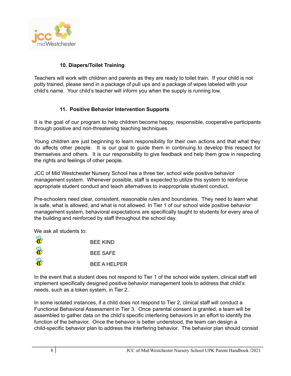

# **10. Diapers/Toilet Training**

Teachers will work with children and parents as they are ready to toilet train. If your child is not potty trained, please send in a package of pull ups and a package of wipes labeled with your child's name. Your child's teacher will inform you when the supply is running low.

#### **11. Positive Behavior Intervention Supports**

It is the goal of our program to help children become happy, responsible, cooperative participants through positive and non-threatening teaching techniques.

Young children are just beginning to learn responsibility for their own actions and that what they do affects other people. It is our goal to guide them in continuing to develop this respect for themselves and others. It is our responsibility to give feedback and help them grow in respecting the rights and feelings of other people.

JCC of Mid Westchester Nursery School has a three tier, school wide positive behavior management system. Whenever possible, staff is expected to utilize this system to reinforce appropriate student conduct and teach alternatives to inappropriate student conduct.

Pre-schoolers need clear, consistent, reasonable rules and boundaries. They need to learn what is safe, what is allowed, and what is not allowed. In Tier 1 of our school wide positive behavior management system, behavioral expectations are specifically taught to students for every area of the building and reinforced by staff throughout the school day.

We ask all students to:

|          | <b>BEE KIND</b>     |
|----------|---------------------|
| Joseph S | <b>BEE SAFE</b>     |
| H.       | <b>BEE A HELPER</b> |

In the event that a student does not respond to Tier 1 of the school wide system, clinical staff will implement specifically designed positive behavior management tools to address that child's needs, such as a token system, in Tier 2.

In some isolated instances, if a child does not respond to Tier 2, clinical staff will conduct a Functional Behavioral Assessment in Tier 3. Once parental consent is granted, a team will be assembled to gather data on the child's specific interfering behaviors in an effort to identify the function of the behavior. Once the behavior is better understood, the team can design a child-specific behavior plan to address the interfering behavior. The behavior plan should consist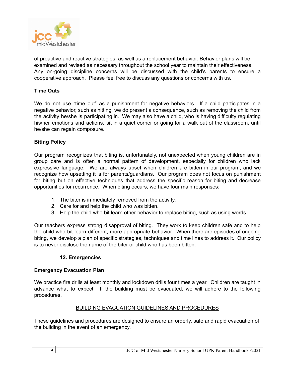

of proactive and reactive strategies, as well as a replacement behavior. Behavior plans will be examined and revised as necessary throughout the school year to maintain their effectiveness. Any on-going discipline concerns will be discussed with the child's parents to ensure a cooperative approach. Please feel free to discuss any questions or concerns with us.

## **Time Outs**

We do not use "time out" as a punishment for negative behaviors. If a child participates in a negative behavior, such as hitting, we do present a consequence, such as removing the child from the activity he/she is participating in. We may also have a child, who is having difficulty regulating his/her emotions and actions, sit in a quiet corner or going for a walk out of the classroom, until he/she can regain composure.

#### **Biting Policy**

Our program recognizes that biting is, unfortunately, not unexpected when young children are in group care and is often a normal pattern of development, especially for children who lack expressive language. We are always upset when children are bitten in our program, and we recognize how upsetting it is for parents/guardians. Our program does not focus on punishment for biting but on effective techniques that address the specific reason for biting and decrease opportunities for recurrence. When biting occurs, we have four main responses:

- 1. The biter is immediately removed from the activity.
- 2. Care for and help the child who was bitten.
- 3. Help the child who bit learn other behavior to replace biting, such as using words.

Our teachers express strong disapproval of biting. They work to keep children safe and to help the child who bit learn different, more appropriate behavior. When there are episodes of ongoing biting, we develop a plan of specific strategies, techniques and time lines to address it. Our policy is to never disclose the name of the biter or child who has been bitten.

#### **12. Emergencies**

#### **Emergency Evacuation Plan**

We practice fire drills at least monthly and lockdown drills four times a year. Children are taught in advance what to expect. If the building must be evacuated, we will adhere to the following procedures.

#### BUILDING EVACUATION GUIDELINES AND PROCEDURES

These guidelines and procedures are designed to ensure an orderly, safe and rapid evacuation of the building in the event of an emergency.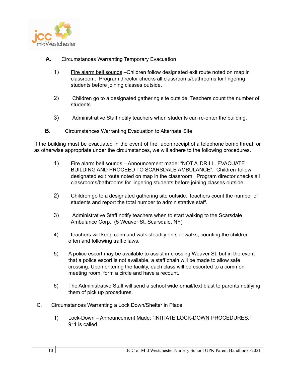

- **A.** Circumstances Warranting Temporary Evacuation
	- 1) Fire alarm bell sounds –Children follow designated exit route noted on map in classroom. Program director checks all classrooms/bathrooms for lingering students before joining classes outside.
	- 2) Children go to a designated gathering site outside. Teachers count the number of students.
	- 3) Administrative Staff notify teachers when students can re-enter the building.
- **B.** Circumstances Warranting Evacuation to Alternate Site

If the building must be evacuated in the event of fire, upon receipt of a telephone bomb threat, or as otherwise appropriate under the circumstances, we will adhere to the following procedures.

- 1) Fire alarm bell sounds Announcement made: "NOT A DRILL. EVACUATE BUILDING AND PROCEED TO SCARSDALE AMBULANCE". Children follow designated exit route noted on map in the classroom. Program director checks all classrooms/bathrooms for lingering students before joining classes outside.
- 2) Children go to a designated gathering site outside. Teachers count the number of students and report the total number to administrative staff.
- 3) Administrative Staff notify teachers when to start walking to the Scarsdale Ambulance Corp. (5 Weaver St. Scarsdale, NY)
- 4) Teachers will keep calm and walk steadily on sidewalks, counting the children often and following traffic laws.
- 5) A police escort may be available to assist in crossing Weaver St, but in the event that a police escort is not available, a staff chain will be made to allow safe crossing. Upon entering the facility, each class will be escorted to a common meeting room, form a circle and have a recount.
- 6) The Administrative Staff will send a school wide email/text blast to parents notifying them of pick up procedures.
- C. Circumstances Warranting a Lock Down/Shelter in Place
	- 1) Lock-Down Announcement Made: "INITIATE LOCK-DOWN PROCEDURES." 911 is called.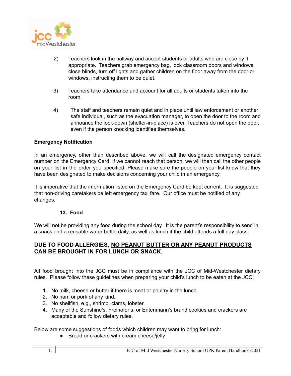

- 2) Teachers look in the hallway and accept students or adults who are close by if appropriate. Teachers grab emergency bag, lock classroom doors and windows, close blinds, turn off lights and gather children on the floor away from the door or windows, instructing them to be quiet.
- 3) Teachers take attendance and account for all adults or students taken into the room.
- 4) The staff and teachers remain quiet and in place until law enforcement or another safe individual, such as the evacuation manager, to open the door to the room and announce the lock-down (shelter-in-place) is over. Teachers do not open the door, even if the person knocking identifies themselves.

#### **Emergency Notification**

In an emergency, other than described above, we will call the designated emergency contact number on the Emergency Card. If we cannot reach that person, we will then call the other people on your list in the order you specified. Please make sure the people on your list know that they have been designated to make decisions concerning your child in an emergency.

It is imperative that the information listed on the Emergency Card be kept current. It is suggested that non-driving caretakers be left emergency taxi fare. Our office must be notified of any changes.

#### **13. Food**

We will not be providing any food during the school day. It is the parent's responsibility to send in a snack and a reusable water bottle daily, as well as lunch if the child attends a full day class.

# **DUE TO FOOD ALLERGIES, NO PEANUT BUTTER OR ANY PEANUT PRODUCTS CAN BE BROUGHT IN FOR LUNCH OR SNACK.**

All food brought into the JCC must be in compliance with the JCC of Mid-Westchester dietary rules. Please follow these guidelines when preparing your child's lunch to be eaten at the JCC:

- 1. No milk, cheese or butter if there is meat or poultry in the lunch.
- 2. No ham or pork of any kind.
- 3. No shellfish, e.g., shrimp, clams, lobster.
- 4. Many of the Sunshine's, Freihofer's, or Entenmann's brand cookies and crackers are acceptable and follow dietary rules.

Below are some suggestions of foods which children may want to bring for lunch:

• Bread or crackers with cream cheese/jelly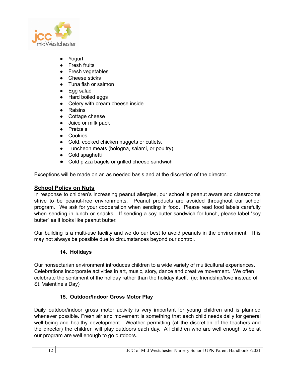

- Yogurt
- Fresh fruits
- Fresh vegetables
- Cheese sticks
- Tuna fish or salmon
- Egg salad
- Hard boiled eggs
- Celery with cream cheese inside
- Raisins
- Cottage cheese
- Juice or milk pack
- Pretzels
- Cookies
- Cold, cooked chicken nuggets or cutlets.
- Luncheon meats (bologna, salami, or poultry)
- Cold spaghetti
- Cold pizza bagels or grilled cheese sandwich

Exceptions will be made on an as needed basis and at the discretion of the director..

# **School Policy on Nuts**

In response to children's increasing peanut allergies, our school is peanut aware and classrooms strive to be peanut-free environments. Peanut products are avoided throughout our school program. We ask for your cooperation when sending in food. Please read food labels carefully when sending in lunch or snacks. If sending a soy butter sandwich for lunch, please label "soy butter" as it looks like peanut butter.

Our building is a multi-use facility and we do our best to avoid peanuts in the environment. This may not always be possible due to circumstances beyond our control.

# **14. Holidays**

Our nonsectarian environment introduces children to a wide variety of multicultural experiences. Celebrations incorporate activities in art, music, story, dance and creative movement. We often celebrate the sentiment of the holiday rather than the holiday itself. (ie: friendship/love instead of St. Valentine's Day)

# **15. Outdoor/Indoor Gross Motor Play**

Daily outdoor/indoor gross motor activity is very important for young children and is planned whenever possible. Fresh air and movement is something that each child needs daily for general well-being and healthy development. Weather permitting (at the discretion of the teachers and the director) the children will play outdoors each day. All children who are well enough to be at our program are well enough to go outdoors.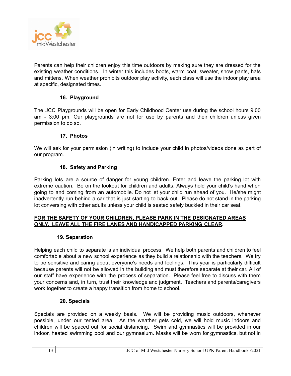

Parents can help their children enjoy this time outdoors by making sure they are dressed for the existing weather conditions. In winter this includes boots, warm coat, sweater, snow pants, hats and mittens. When weather prohibits outdoor play activity, each class will use the indoor play area at specific, designated times.

# **16. Playground**

The JCC Playgrounds will be open for Early Childhood Center use during the school hours 9:00 am - 3:00 pm. Our playgrounds are not for use by parents and their children unless given permission to do so.

#### **17. Photos**

We will ask for your permission (in writing) to include your child in photos/videos done as part of our program.

#### **18. Safety and Parking**

Parking lots are a source of danger for young children. Enter and leave the parking lot with extreme caution. Be on the lookout for children and adults. Always hold your child's hand when going to and coming from an automobile. Do not let your child run ahead of you. He/she might inadvertently run behind a car that is just starting to back out. Please do not stand in the parking lot conversing with other adults unless your child is seated safely buckled in their car seat.

# **FOR THE SAFETY OF YOUR CHILDREN, PLEASE PARK IN THE DESIGNATED AREAS ONLY. LEAVE ALL THE FIRE LANES AND HANDICAPPED PARKING CLEAR.**

#### **19. Separation**

Helping each child to separate is an individual process. We help both parents and children to feel comfortable about a new school experience as they build a relationship with the teachers. We try to be sensitive and caring about everyone's needs and feelings. This year is particularly difficult because parents will not be allowed in the building and must therefore separate at their car. All of our staff have experience with the process of separation. Please feel free to discuss with them your concerns and, in turn, trust their knowledge and judgment. Teachers and parents/caregivers work together to create a happy transition from home to school.

#### **20. Specials**

Specials are provided on a weekly basis. We will be providing music outdoors, whenever possible, under our tented area. As the weather gets cold, we will hold music indoors and children will be spaced out for social distancing. Swim and gymnastics will be provided in our indoor, heated swimming pool and our gymnasium. Masks will be worn for gymnastics, but not in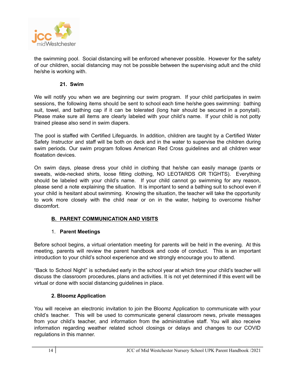

the swimming pool. Social distancing will be enforced whenever possible. However for the safety of our children, social distancing may not be possible between the supervising adult and the child he/she is working with.

#### **21. Swim**

We will notify you when we are beginning our swim program. If your child participates in swim sessions, the following items should be sent to school each time he/she goes swimming: bathing suit, towel, and bathing cap if it can be tolerated (long hair should be secured in a ponytail). Please make sure all items are clearly labeled with your child's name. If your child is not potty trained please also send in swim diapers.

The pool is staffed with Certified Lifeguards. In addition, children are taught by a Certified Water Safety Instructor and staff will be both on deck and in the water to supervise the children during swim periods. Our swim program follows American Red Cross guidelines and all children wear floatation devices.

On swim days, please dress your child in clothing that he/she can easily manage (pants or sweats, wide-necked shirts, loose fitting clothing, NO LEOTARDS OR TIGHTS). Everything should be labeled with your child's name. If your child cannot go swimming for any reason, please send a note explaining the situation. It is important to send a bathing suit to school even if your child is hesitant about swimming. Knowing the situation, the teacher will take the opportunity to work more closely with the child near or on in the water, helping to overcome his/her discomfort.

# **B. PARENT COMMUNICATION AND VISITS**

#### 1. **Parent Meetings**

Before school begins, a virtual orientation meeting for parents will be held in the evening. At this meeting, parents will review the parent handbook and code of conduct. This is an important introduction to your child's school experience and we strongly encourage you to attend.

"Back to School Night" is scheduled early in the school year at which time your child's teacher will discuss the classroom procedures, plans and activities. It is not yet determined if this event will be virtual or done with social distancing guidelines in place.

# **2. Bloomz Application**

You will receive an electronic invitation to join the Bloomz Application to communicate with your child's teacher. This will be used to communicate general classroom news, private messages from your child's teacher, and information from the administrative staff. You will also receive information regarding weather related school closings or delays and changes to our COVID regulations in this manner.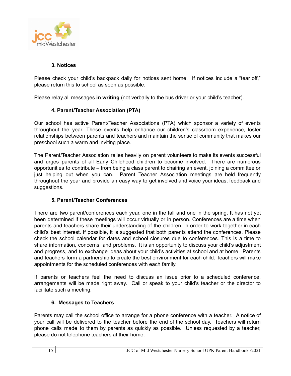

# **3. Notices**

Please check your child's backpack daily for notices sent home. If notices include a "tear off," please return this to school as soon as possible.

Please relay all messages **in writing** (not verbally to the bus driver or your child's teacher).

#### **4. Parent/Teacher Association (PTA)**

Our school has active Parent/Teacher Associations (PTA) which sponsor a variety of events throughout the year. These events help enhance our children's classroom experience, foster relationships between parents and teachers and maintain the sense of community that makes our preschool such a warm and inviting place.

The Parent/Teacher Association relies heavily on parent volunteers to make its events successful and urges parents of all Early Childhood children to become involved. There are numerous opportunities to contribute – from being a class parent to chairing an event, joining a committee or just helping out when you can. Parent Teacher Association meetings are held frequently throughout the year and provide an easy way to get involved and voice your ideas, feedback and suggestions.

# **5. Parent/Teacher Conferences**

There are two parent/conferences each year, one in the fall and one in the spring. It has not yet been determined if these meetings will occur virtually or in person. Conferences are a time when parents and teachers share their understanding of the children, in order to work together in each child's best interest. If possible, it is suggested that both parents attend the conferences. Please check the school calendar for dates and school closures due to conferences. This is a time to share information, concerns, and problems. It is an opportunity to discuss your child's adjustment and progress, and to exchange ideas about your child's activities at school and at home. Parents and teachers form a partnership to create the best environment for each child. Teachers will make appointments for the scheduled conferences with each family.

If parents or teachers feel the need to discuss an issue prior to a scheduled conference, arrangements will be made right away. Call or speak to your child's teacher or the director to facilitate such a meeting.

#### **6. Messages to Teachers**

Parents may call the school office to arrange for a phone conference with a teacher. A notice of your call will be delivered to the teacher before the end of the school day. Teachers will return phone calls made to them by parents as quickly as possible. Unless requested by a teacher, please do not telephone teachers at their home.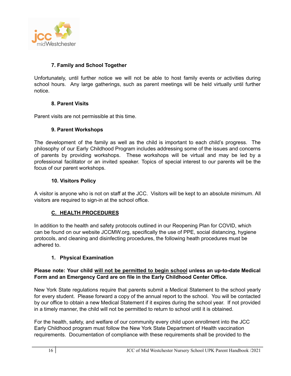

# **7. Family and School Together**

Unfortunately, until further notice we will not be able to host family events or activities during school hours. Any large gatherings, such as parent meetings will be held virtually until further notice.

# **8. Parent Visits**

Parent visits are not permissible at this time.

# **9. Parent Workshops**

The development of the family as well as the child is important to each child's progress. The philosophy of our Early Childhood Program includes addressing some of the issues and concerns of parents by providing workshops. These workshops will be virtual and may be led by a professional facilitator or an invited speaker. Topics of special interest to our parents will be the focus of our parent workshops.

# **10. Visitors Policy**

A visitor is anyone who is not on staff at the JCC. Visitors will be kept to an absolute minimum. All visitors are required to sign-in at the school office.

# **C. HEALTH PROCEDURES**

In addition to the health and safety protocols outlined in our Reopening Plan for COVID, which can be found on our website JCCMW.org, specifically the use of PPE, social distancing, hygiene protocols, and cleaning and disinfecting procedures, the following heath procedures must be adhered to.

# **1. Physical Examination**

#### **Please note: Your child will not be permitted to begin school unless an up-to-date Medical Form and an Emergency Card are on file in the Early Childhood Center Office.**

New York State regulations require that parents submit a Medical Statement to the school yearly for every student. Please forward a copy of the annual report to the school. You will be contacted by our office to obtain a new Medical Statement if it expires during the school year. If not provided in a timely manner, the child will not be permitted to return to school until it is obtained.

For the health, safety, and welfare of our community every child upon enrollment into the JCC Early Childhood program must follow the New York State Department of Health vaccination requirements. Documentation of compliance with these requirements shall be provided to the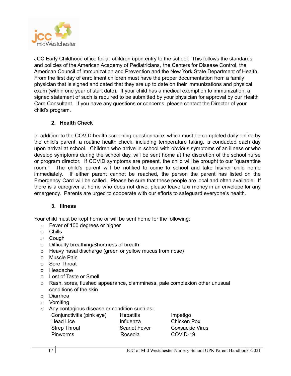

JCC Early Childhood office for all children upon entry to the school. This follows the standards and policies of the American Academy of Pediatricians, the Centers for Disease Control, the American Council of Immunization and Prevention and the New York State Department of Health. From the first day of enrollment children must have the proper documentation from a family physician that is signed and dated that they are up to date on their immunizations and physical exam (within one year of start date). If your child has a medical exemption to immunization, a signed statement of such is required to be submitted by your physician for approval by our Health Care Consultant. If you have any questions or concerns, please contact the Director of your child's program.

# **2. Health Check**

In addition to the COVID health screening questionnaire, which must be completed daily online by the child's parent, a routine health check, including temperature taking, is conducted each day upon arrival at school. Children who arrive in school with obvious symptoms of an illness or who develop symptoms during the school day, will be sent home at the discretion of the school nurse or program director. If COVID symptoms are present, the child will be brought to our "quarantine room." The child's parent will be notified to come to school and take his/her child home immediately. If either parent cannot be reached, the person the parent has listed on the Emergency Card will be called. Please be sure that these people are local and often available. If there is a caregiver at home who does not drive, please leave taxi money in an envelope for any emergency. Parents are urged to cooperate with our efforts to safeguard everyone's health.

# **3. Illness**

Your child must be kept home or will be sent home for the following:

- o Fever of 100 degrees or higher
- o Chills
- o Cough
- o Difficulty breathing/Shortness of breath
- o Heavy nasal discharge (green or yellow mucus from nose)
- o Muscle Pain
- o Sore Throat
- o Headache
- o Lost of Taste or Smell
- $\circ$  Rash, sores, flushed appearance, clamminess, pale complexion other unusual conditions of the skin
- o Diarrhea
- o Vomiting
- o Any contagious disease or condition such as:

| Conjunctivitis (pink eye) | <b>Hepatitis</b>     |
|---------------------------|----------------------|
| <b>Head Lice</b>          | Influenza            |
| <b>Strep Throat</b>       | <b>Scarlet Fever</b> |
| <b>Pinworms</b>           | Roseola              |

Impetigo Chicken Pox Coxsackie Virus COVID-19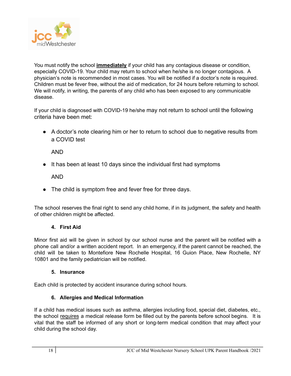

You must notify the school **immediately** if your child has any contagious disease or condition, especially COVID-19. Your child may return to school when he/she is no longer contagious. A physician's note is recommended in most cases. You will be notified if a doctor's note is required. Children must be fever free, without the aid of medication, for 24 hours before returning to school. We will notify, in writing, the parents of any child who has been exposed to any communicable disease.

If your child is diagnosed with COVID-19 he/she may not return to school until the following criteria have been met:

• A doctor's note clearing him or her to return to school due to negative results from a COVID test

AND

● It has been at least 10 days since the individual first had symptoms

AND

• The child is symptom free and fever free for three days.

The school reserves the final right to send any child home, if in its judgment, the safety and health of other children might be affected.

# **4. First Aid**

Minor first aid will be given in school by our school nurse and the parent will be notified with a phone call and/or a written accident report. In an emergency, if the parent cannot be reached, the child will be taken to Montefiore New Rochelle Hospital, 16 Guion Place, New Rochelle, NY 10801 and the family pediatrician will be notified.

# **5. Insurance**

Each child is protected by accident insurance during school hours.

# **6. Allergies and Medical Information**

If a child has medical issues such as asthma, allergies including food, special diet, diabetes, etc., the school requires a medical release form be filled out by the parents before school begins. It is vital that the staff be informed of any short or long-term medical condition that may affect your child during the school day.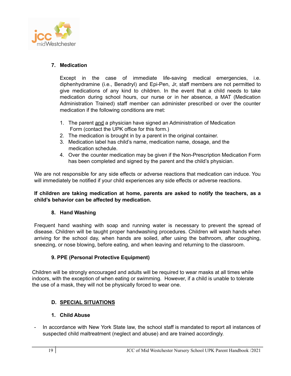

# **7. Medication**

Except in the case of immediate life-saving medical emergencies, i.e. diphenhydramine (i.e., Benadryl) and Epi-Pen, Jr, staff members are not permitted to give medications of any kind to children. In the event that a child needs to take medication during school hours, our nurse or in her absence, a MAT (Medication Administration Trained) staff member can administer prescribed or over the counter medication if the following conditions are met:

- 1. The parent and a physician have signed an Administration of Medication Form (contact the UPK office for this form.)
- 2. The medication is brought in by a parent in the original container.
- 3. Medication label has child's name, medication name, dosage, and the medication schedule.
- 4. Over the counter medication may be given if the Non-Prescription Medication Form has been completed and signed by the parent and the child's physician.

We are not responsible for any side effects or adverse reactions that medication can induce. You will immediately be notified if your child experiences any side effects or adverse reactions.

#### **If children are taking medication at home, parents are asked to notify the teachers, as a child's behavior can be affected by medication.**

#### **8. Hand Washing**

Frequent hand washing with soap and running water is necessary to prevent the spread of disease. Children will be taught proper handwashing procedures. Children will wash hands when arriving for the school day, when hands are soiled, after using the bathroom, after coughing, sneezing, or nose blowing, before eating, and when leaving and returning to the classroom.

# **9. PPE (Personal Protective Equipment)**

Children will be strongly encouraged and adults will be required to wear masks at all times while indoors, with the exception of when eating or swimming. However, if a child is unable to tolerate the use of a mask, they will not be physically forced to wear one.

# **D. SPECIAL SITUATIONS**

#### **1. Child Abuse**

- In accordance with New York State law, the school staff is mandated to report all instances of suspected child maltreatment (neglect and abuse) and are trained accordingly.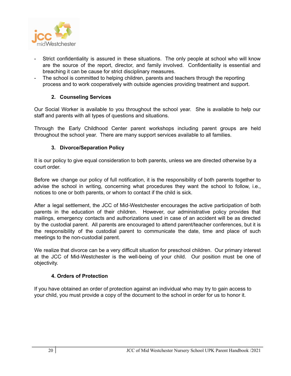

- Strict confidentiality is assured in these situations. The only people at school who will know are the source of the report, director, and family involved. Confidentiality is essential and breaching it can be cause for strict disciplinary measures.
- The school is committed to helping children, parents and teachers through the reporting process and to work cooperatively with outside agencies providing treatment and support.

# **2. Counseling Services**

Our Social Worker is available to you throughout the school year. She is available to help our staff and parents with all types of questions and situations.

Through the Early Childhood Center parent workshops including parent groups are held throughout the school year. There are many support services available to all families.

# **3. Divorce/Separation Policy**

It is our policy to give equal consideration to both parents, unless we are directed otherwise by a court order.

Before we change our policy of full notification, it is the responsibility of both parents together to advise the school in writing, concerning what procedures they want the school to follow, i.e., notices to one or both parents, or whom to contact if the child is sick.

After a legal settlement, the JCC of Mid-Westchester encourages the active participation of both parents in the education of their children. However, our administrative policy provides that mailings, emergency contacts and authorizations used in case of an accident will be as directed by the custodial parent. All parents are encouraged to attend parent/teacher conferences, but it is the responsibility of the custodial parent to communicate the date, time and place of such meetings to the non-custodial parent.

We realize that divorce can be a very difficult situation for preschool children. Our primary interest at the JCC of Mid-Westchester is the well-being of your child. Our position must be one of objectivity.

# **4. Orders of Protection**

If you have obtained an order of protection against an individual who may try to gain access to your child, you must provide a copy of the document to the school in order for us to honor it.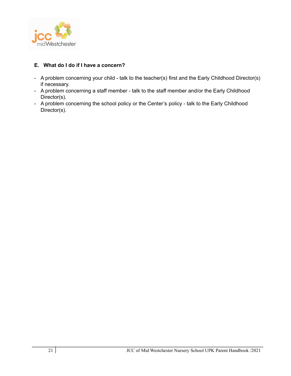

## **E. What do I do if I have a concern?**

- A problem concerning your child talk to the teacher(s) first and the Early Childhood Director(s) if necessary.
- A problem concerning a staff member talk to the staff member and/or the Early Childhood Director(s).
- A problem concerning the school policy or the Center's policy talk to the Early Childhood Director(s).